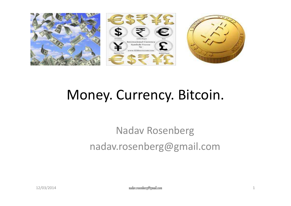

# Money. Currency. Bitcoin.

#### Nadav Rosenbergnadav.rosenberg@gmail.com

 nadav.rosenberg@gmail.com $\mathbf n$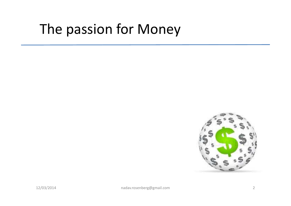# The passion for Money

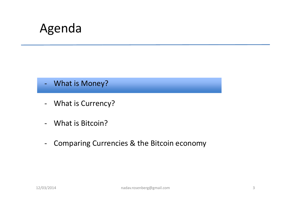#### Agenda

-What is Money?

- What is Currency?
- -What is Bitcoin?
- -Comparing Currencies & the Bitcoin economy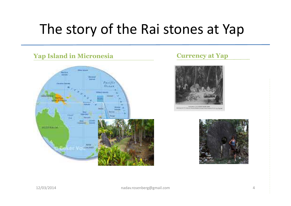### The story of the Rai stones at Yap

# **Yap Island in MicronesiaDistance Delivery** 51. J.K **Williams NOW**

#### **Currency at Yap**



FURN NORW OF THE WORTHAN CAROLINE ISLANDS. discriminate in N. S. Same at a to

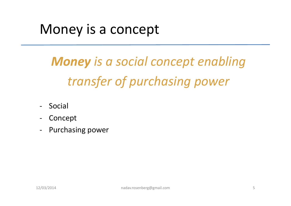# Money is a concept

# *Money is a social concept enabling transfer of purchasing power*

- -Social
- -Concept
- $\blacksquare$ Purchasing power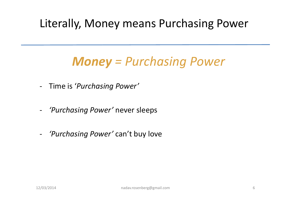#### Literally, Money means Purchasing Power

### *Money = Purchasing Power*

- -Time is '*Purchasing Power'*
- -*'Purchasing Power'* never sleeps
- -*'Purchasing Power'* can't buy love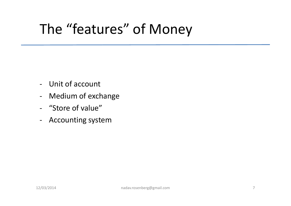# The "features" of Money

- -Unit of account
- $\blacksquare$ Medium of exchange
- $\overline{a}$ "Store of value"
- $\overline{\phantom{a}}$ Accounting system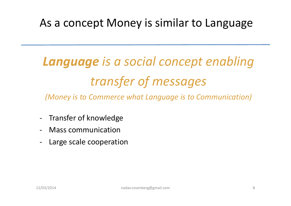#### As a concept Money is similar to Language

# *Language is a social concept enabling transfer of messages*

*(Money is to Commerce what Language is to Communication)*

- $\overline{\phantom{0}}$ Transfer of knowledge
- -Mass communication
- -Large scale cooperation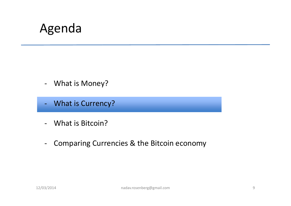#### Agenda

- What is Money?
- -What is Currency?
- -What is Bitcoin?
- -Comparing Currencies & the Bitcoin economy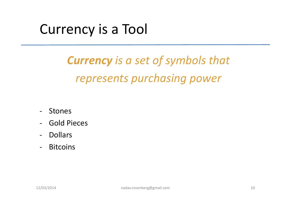### Currency is a Tool

# *Currency is a set of symbols that represents purchasing power*

- $\blacksquare$ Stones
- $\blacksquare$ Gold Pieces
- $\blacksquare$ Dollars
- -Bitcoins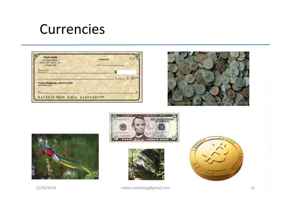#### Currencies

| <b>YOUR NAME</b><br>123 YOUR STREET<br>YOUR CITY STATE ZIP<br>11231456-7890 | <b>S-08/W1234</b><br>$B_4u$ | 030           |
|-----------------------------------------------------------------------------|-----------------------------|---------------|
| Bezie the                                                                   |                             |               |
|                                                                             |                             | Dollars & SHI |
| <b>YOUR FINANCIAL INSTITUTION</b><br><b>ANYTOWN, USA</b>                    |                             |               |
| No.                                                                         |                             |               |
| 41234567800 0301 123m456m7M                                                 |                             |               |











12/03/2014

nadav.rosenberg@gmail.com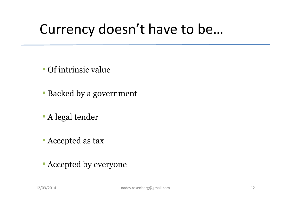## Currency doesn't have to be…

- **Of intrinsic value**
- Backed by a government
- **A** legal tender
- **Accepted as tax**
- Accepted by everyone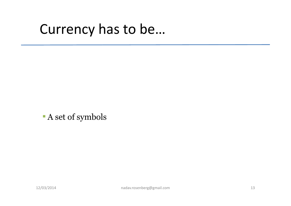### Currency has to be…

A set of symbols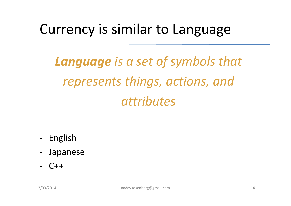### Currency is similar to Language

# *Language is a set of symbols that represents things, actions, and attributes*

- -English
- -Japanese
- - $C++$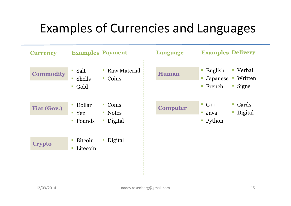#### Examples of Currencies and Languages

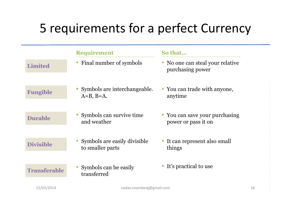#### 5 requirements for a perfect Currency

|                     | <b>Requirement</b>                               | So that                                               |
|---------------------|--------------------------------------------------|-------------------------------------------------------|
| <b>Limited</b>      | Final number of symbols                          | • No one can steal your relative<br>purchasing power  |
| <b>Fungible</b>     | Symbols are interchangeable.<br>$A=B, B=A.$      | • You can trade with anyone,<br>anytime               |
| <b>Durable</b>      | Symbols can survive time<br>and weather          | • You can save your purchasing<br>power or pass it on |
| <b>Divisible</b>    | Symbols are easily divisible<br>to smaller parts | It can represent also small<br>things                 |
| <b>Transferable</b> | Symbols can be easily<br>transferred             | ■ It's practical to use                               |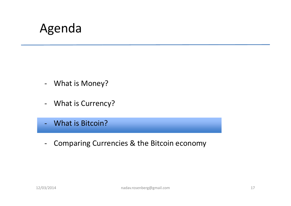#### Agenda

- -What is Money?
- -What is Currency?
- -What is Bitcoin?
- -Comparing Currencies & the Bitcoin economy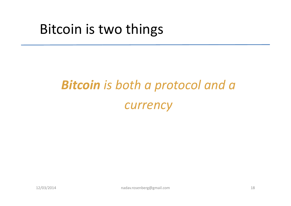# Bitcoin is two things

# *Bitcoin is both a protocol and a currency*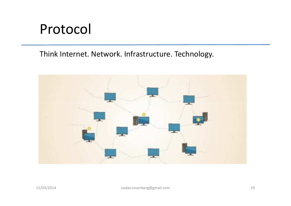#### Protocol

#### Think Internet. Network. Infrastructure. Technology.

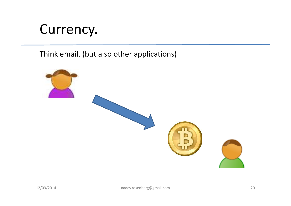#### Currency.

Think email. (but also other applications)

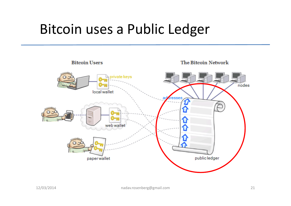# Bitcoin uses a Public Ledger

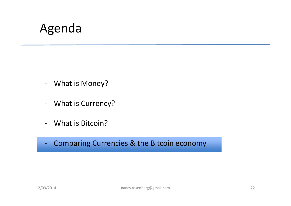#### Agenda

- What is Money?
- -What is Currency?
- -What is Bitcoin?

-Comparing Currencies & the Bitcoin economy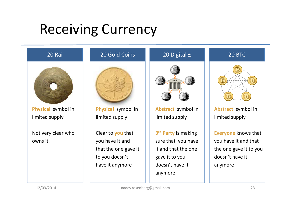# Receiving Currency

![](_page_22_Figure_1.jpeg)

12/03/2014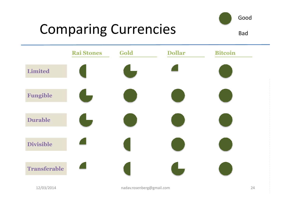# Comparing Currencies

Bad

![](_page_23_Figure_3.jpeg)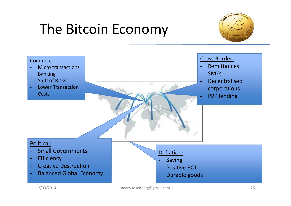# The Bitcoin Economy

![](_page_24_Picture_1.jpeg)

![](_page_24_Figure_2.jpeg)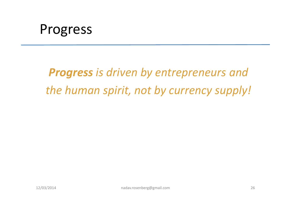#### Progress

### *Progress is driven by entrepreneurs and the human spirit, not by currency supply!*